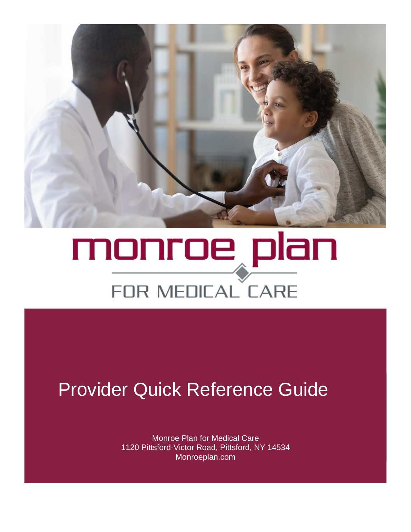

# monroe plan FOR MEDICAL CARE

## Provider Quick Reference Guide

Monroe Plan for Medical Care 1120 Pittsford-Victor Road, Pittsford, NY 14534 Monroeplan.com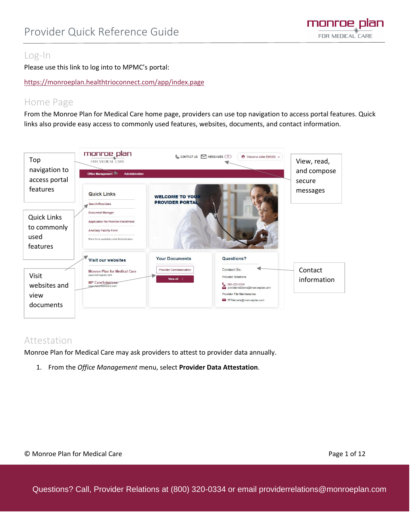

#### Log-In

j

Please use this link to log into to MPMC's portal:

<https://monroeplan.healthtrioconnect.com/app/index.page>

#### Home Page

From the Monroe Plan for Medical Care home page, providers can use top navigation to access portal features. Quick links also provide easy access to commonly used features, websites, documents, and contact information.



#### Attestation

Monroe Plan for Medical Care may ask providers to attest to provider data annually.

1. From the *Office Management* menu, select **Provider Data Attestation**.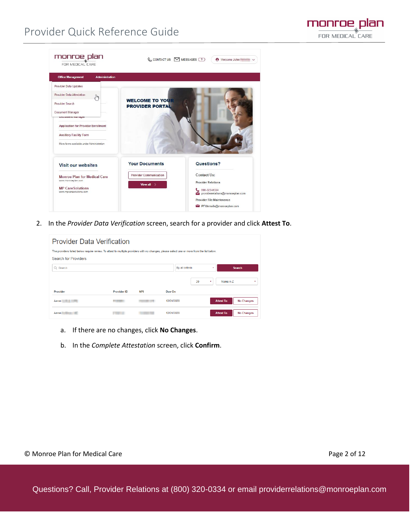### Provider Quick Reference Guide

j



2. In the *Provider Data Verification* screen, search for a provider and click **Attest To**.

| <b>Provider Data Verification</b>                                                                                                          |                    |            |                 |         |                                       |
|--------------------------------------------------------------------------------------------------------------------------------------------|--------------------|------------|-----------------|---------|---------------------------------------|
| The providers listed below require review. To attest to multiple providers with no changes, please select one or more from the list below. |                    |            |                 |         |                                       |
| Search for Providers                                                                                                                       |                    |            |                 |         |                                       |
| $Q$ Search                                                                                                                                 |                    |            | By all criteria |         | <b>Search</b><br>٠                    |
|                                                                                                                                            |                    |            |                 | 20<br>۰ | Name A-Z<br>٠                         |
| Provider                                                                                                                                   | <b>Provider ID</b> | <b>NPI</b> | Due On          |         |                                       |
| Aaron <b>Aaron</b>                                                                                                                         |                    |            | 12/01/2020      |         | <b>Attest To</b><br><b>No Changes</b> |
| Aaron                                                                                                                                      |                    |            | 12/01/2020      |         | <b>Attest To</b><br><b>No Changes</b> |

- a. If there are no changes, click **No Changes**.
- b. In the *Complete Attestation* screen, click **Confirm**.

monroe plan FOR MEDICAL CARE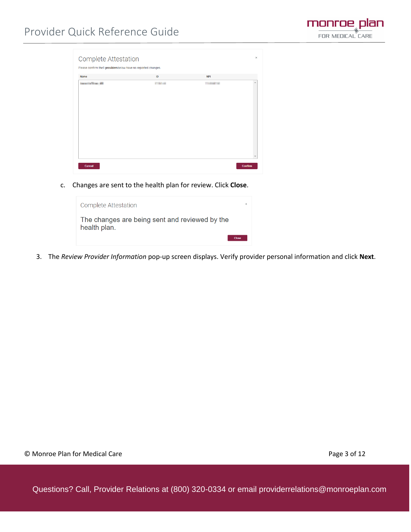

| Please confirm the1 providersbelow have no reported changes. |                   |                          |  |
|--------------------------------------------------------------|-------------------|--------------------------|--|
| <b>Name</b>                                                  | ID                | <b>NPI</b>               |  |
| constitutions and                                            | <b>CONTRACTOR</b> | <b>Contract Contract</b> |  |
|                                                              |                   |                          |  |
|                                                              |                   |                          |  |
|                                                              |                   |                          |  |
|                                                              |                   |                          |  |
|                                                              |                   |                          |  |
|                                                              |                   |                          |  |
|                                                              |                   |                          |  |
|                                                              |                   |                          |  |
|                                                              |                   |                          |  |
|                                                              |                   |                          |  |
|                                                              |                   |                          |  |
|                                                              |                   |                          |  |
|                                                              |                   |                          |  |

c. Changes are sent to the health plan for review. Click **Close**.



3. The *Review Provider Information* pop-up screen displays. Verify provider personal information and click **Next**.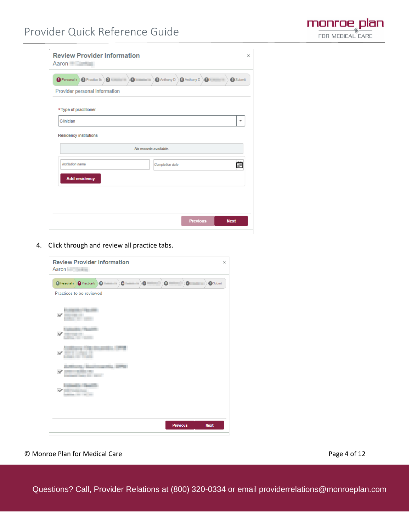

| <b>Review Provider Information</b><br>Aaron               |                                                                        |
|-----------------------------------------------------------|------------------------------------------------------------------------|
| O Personal in 2 Practice lis 3 (Change and 2 Change and 2 | 5 Anthony D<br><b>G</b> Anthony D<br>$\overline{a}$<br><b>8</b> Submit |
| Provider personal information                             |                                                                        |
| *Type of practitioner                                     |                                                                        |
| Clinician                                                 |                                                                        |
|                                                           | No records available.                                                  |
| Institution name                                          | Completion date                                                        |
| <b>Add residency</b>                                      |                                                                        |
|                                                           |                                                                        |
|                                                           |                                                                        |
|                                                           |                                                                        |

4. Click through and review all practice tabs.



© Monroe Plan for Medical Care **Page 4 of 12** and 2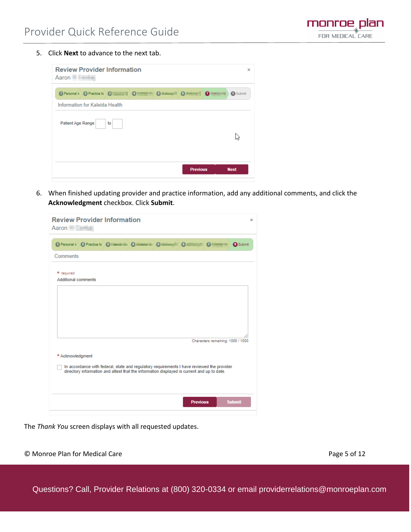5. Click **Next** to advance to the next tab.

j

| <b>Review Provider Information</b><br>Aaron                                                                      | $\times$    |
|------------------------------------------------------------------------------------------------------------------|-------------|
| 1 Personal in 2 Practice lis 3 3 4 4 5 6 million<br>$\bullet$<br>$\mathbf{G} = \mathbf{H} \mathbf{H} \mathbf{H}$ | 8 Submit    |
| Information for Kaleida Health                                                                                   |             |
| Patient Age Range<br>to                                                                                          |             |
| <b>Previous</b>                                                                                                  | <b>Next</b> |

6. When finished updating provider and practice information, add any additional comments, and click the **Acknowledgment** checkbox. Click **Submit**.

| <b>Review Provider Information</b><br>Aaron <b>Aaron</b>                                                                                                                                                                             | × |
|--------------------------------------------------------------------------------------------------------------------------------------------------------------------------------------------------------------------------------------|---|
| 1 Personal in 2 Practice lis 8 <b>Community 3 Community 3 Community 3 Community 3 Community 3 Community 3 Community 3 Community 3 Community 3 Community 3 Community 3 Community 3 Community 3 Community 3 Community 3 Community </b> |   |
| Comments                                                                                                                                                                                                                             |   |
| * required<br><b>Additional comments</b>                                                                                                                                                                                             |   |
|                                                                                                                                                                                                                                      |   |
|                                                                                                                                                                                                                                      |   |
| Characters remaining: 1000 / 1000                                                                                                                                                                                                    |   |
| * Acknowledgment                                                                                                                                                                                                                     |   |
| In accordance with federal, state and regulatory requirements I have reviewed the provider<br>directory information and attest that the information displayed is current and up to date.                                             |   |
|                                                                                                                                                                                                                                      |   |
| <b>Previous</b><br><b>Submit</b>                                                                                                                                                                                                     |   |
|                                                                                                                                                                                                                                      |   |

The *Thank You* screen displays with all requested updates.

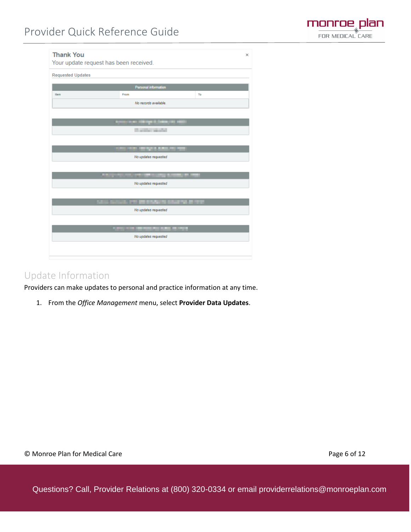

| <b>Thank You</b>         | Your update request has been received.    |    | $\times$ |
|--------------------------|-------------------------------------------|----|----------|
| <b>Requested Updates</b> |                                           |    |          |
|                          | Personal information                      |    |          |
| Item                     | From                                      | To |          |
|                          | No records available.                     |    |          |
|                          |                                           |    |          |
|                          |                                           |    |          |
|                          | <b>Control Model</b>                      |    |          |
|                          |                                           |    |          |
|                          | <b>THE RESIDENCE OF THE</b>               |    |          |
|                          | No updates requested                      |    |          |
|                          |                                           |    |          |
|                          | <b>A REPORT OF STREET STREET AND</b>      |    |          |
|                          | No updates requested                      |    |          |
|                          |                                           |    |          |
|                          | SALE SERVER THE REPORTS CONTROL MINER.    |    |          |
|                          | No updates requested                      |    |          |
|                          |                                           |    |          |
|                          | <b>STATISTICS INTERFERING AND ARTISTS</b> |    |          |
|                          | No updates requested                      |    |          |
|                          |                                           |    |          |
|                          |                                           |    |          |

#### Update Information

Providers can make updates to personal and practice information at any time.

1. From the *Office Management* menu, select **Provider Data Updates**.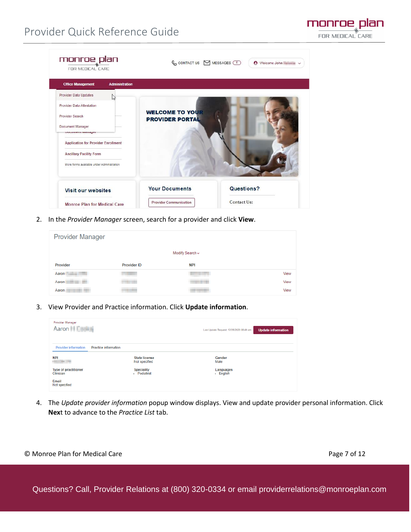| <b>Office Management</b><br><b>Administration</b> |                                                  |                    |
|---------------------------------------------------|--------------------------------------------------|--------------------|
| Provider Data Updates<br>5 <sub>n</sub>           |                                                  |                    |
| Provider Data Attestation                         |                                                  |                    |
| Provider Search                                   | <b>WELCOME TO YOUR</b><br><b>PROVIDER PORTAL</b> |                    |
| Document Manager                                  |                                                  |                    |
| россиясти манадет                                 |                                                  |                    |
| <b>Application for Provider Enrollment</b>        |                                                  |                    |
| <b>Ancillary Facility Form</b>                    |                                                  |                    |
| More forms available under Administration         |                                                  |                    |
|                                                   |                                                  |                    |
|                                                   | <b>Your Documents</b>                            | Questions?         |
| <b>Visit our websites</b>                         |                                                  |                    |
|                                                   | <b>Provider Communication</b>                    | <b>Contact Us:</b> |

2. In the *Provider Manager* screen, search for a provider and click **View**.

| <b>Provider Manager</b> |                    |                 |      |
|-------------------------|--------------------|-----------------|------|
|                         |                    | Modify Search ~ |      |
| Provider                | <b>Provider ID</b> | <b>NPI</b>      |      |
| Aaron                   |                    |                 | View |
| Aaron                   | ---                |                 | View |
| Aaron                   | <b>CONTRACTOR</b>  |                 | View |

3. View Provider and Practice information. Click **Update information**.

| Provider Manager<br>Aaron <b>Company</b>                   |                                       | <b>Update information</b><br>Last Update Request: 12/28/2020 08:49 am |
|------------------------------------------------------------|---------------------------------------|-----------------------------------------------------------------------|
| <b>Provider information</b><br><b>Practice information</b> |                                       |                                                                       |
| <b>NPI</b><br><b>COLOR ON</b>                              | <b>State license</b><br>Not specified | Gender<br>Male                                                        |
| <b>Type of practitioner</b><br>Clinician                   | <b>Speciality</b><br>- Podiatrist     | Languages<br>- English                                                |
| Email<br>Not specified                                     |                                       |                                                                       |

4. The *Update provider information* popup window displays. View and update provider personal information. Click **Nex**t to advance to the *Practice List* tab.

monroe plan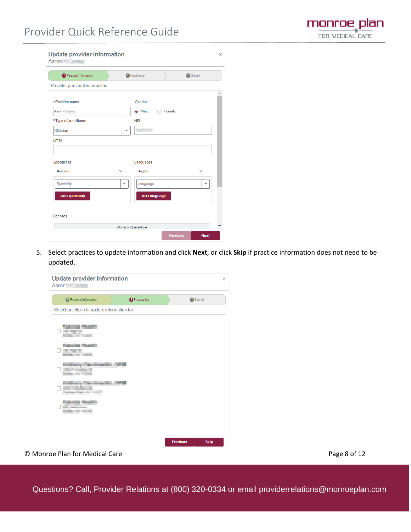

| Personal information          |          | 2 Practice list        | <b>3</b> Submit          |
|-------------------------------|----------|------------------------|--------------------------|
| Provider personal information |          |                        |                          |
| *Provider name                |          | Gender                 |                          |
| Aaron <b>Management</b>       |          | $\odot$ Male<br>Female |                          |
| *Type of practitioner         |          | <b>NPI</b>             |                          |
| Clinician                     |          |                        |                          |
| Email                         |          |                        |                          |
|                               |          |                        |                          |
| Specialities                  |          | Languages              |                          |
| Podiatrist                    | $\times$ | English                | $\times$                 |
| Speciality                    | ٠        | Language               | $\overline{\phantom{a}}$ |
| <b>Add speciality</b>         |          | <b>Add language</b>    |                          |
|                               |          |                        |                          |
|                               |          |                        |                          |

5. Select practices to update information and click **Next**, or click **Skip** if practice information does not need to be updated.

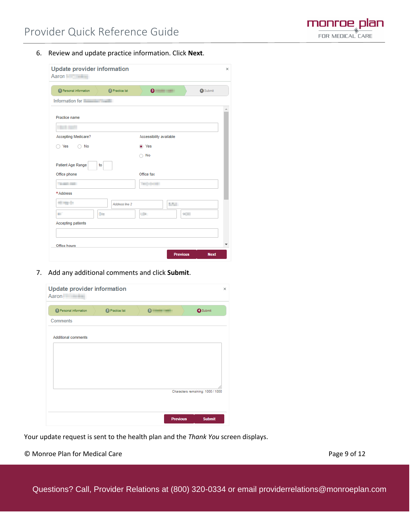

6. Review and update practice information. Click **Next**.

| <b>Update provider information</b><br>Aaron          |                                             |  |
|------------------------------------------------------|---------------------------------------------|--|
| <sup>1</sup> Personal information<br>2 Practice list | $\bullet$ $\blacksquare$<br><b>A</b> Submit |  |
| Information for                                      |                                             |  |
| Practice name                                        |                                             |  |
| <b>CASE OFF</b>                                      |                                             |  |
| Accepting Medicare?                                  | Accessibility available                     |  |
| No<br>Yes                                            | O Yes                                       |  |
|                                                      | No<br>∋                                     |  |
| Patient Age Range<br>to                              |                                             |  |
| Office phone                                         | Office fax                                  |  |
| The product of                                       | <b>Separate</b>                             |  |
| *Address                                             |                                             |  |
| <b>Hillman</b><br>Address line 2                     | <b>SANT</b>                                 |  |
| the c<br>m.                                          | <b>STAR</b><br>$100 - 100$                  |  |
| <b>Accepting patients</b>                            |                                             |  |
|                                                      |                                             |  |
| Office hours                                         |                                             |  |
|                                                      | <b>Previous</b><br><b>Next</b>              |  |

7. Add any additional comments and click **Submit**.

| <sup>1</sup> Personal information | 2 Practice list | $\sim$ | <b>O</b> Submit                   |
|-----------------------------------|-----------------|--------|-----------------------------------|
| <b>Comments</b>                   |                 |        |                                   |
| <b>Additional comments</b>        |                 |        |                                   |
|                                   |                 |        |                                   |
|                                   |                 |        |                                   |
|                                   |                 |        |                                   |
|                                   |                 |        | Characters remaining: 1000 / 1000 |
|                                   |                 |        |                                   |

Your update request is sent to the health plan and the *Thank You* screen displays.

© Monroe Plan for Medical Care **Page 9 of 12** and 2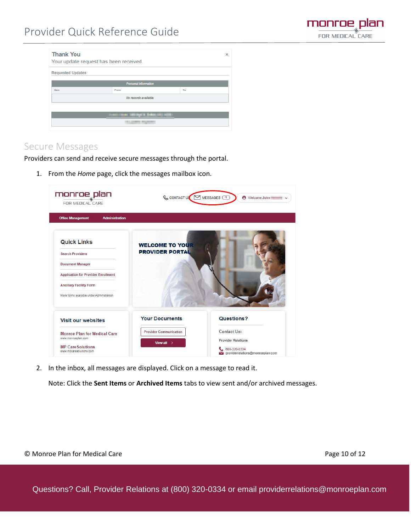

|    | × |
|----|---|
|    |   |
|    |   |
| To |   |
|    |   |
|    |   |
|    |   |
|    |   |
|    |   |

#### Secure Messages

j

Providers can send and receive secure messages through the portal.

1. From the *Home* page, click the messages mailbox icon.



2. In the inbox, all messages are displayed. Click on a message to read it.

Note: Click the **Sent Items** or **Archived Items** tabs to view sent and/or archived messages.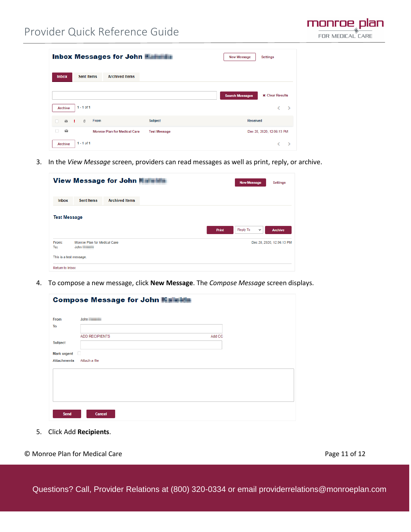| <b>Inbox Messages for John Albertain</b>                   |                     | <b>New Message</b>     | Settings                  |
|------------------------------------------------------------|---------------------|------------------------|---------------------------|
| <b>Sent Items</b><br><b>Archived Items</b><br><b>Inbox</b> |                     |                        |                           |
|                                                            |                     | <b>Search Messages</b> | <b>x</b> Clear Results    |
| $1 - 1$ of 1<br><b>Archive</b>                             |                     |                        | $\rightarrow$<br>K        |
| <b>From</b><br>Ø.<br>$\mathbf{r}$<br>n<br>- 11             | Subject             | Received               |                           |
| $\sim$<br><b>Monroe Plan for Medical Care</b>              | <b>Test Message</b> |                        | Dec 28, 2020, 12:06:13 PM |
| $1 - 1$ of 1<br><b>Archive</b>                             |                     |                        | $\rightarrow$             |

3. In the *View Message* screen, providers can read messages as well as print, reply, or archive.

|                                            | View Message for John <b>William</b>                                                | <b>New Message</b><br>Settings            |
|--------------------------------------------|-------------------------------------------------------------------------------------|-------------------------------------------|
| Inbox                                      | <b>Sent Items</b><br><b>Archived Items</b>                                          |                                           |
| <b>Test Message</b>                        | <b>Print</b>                                                                        | Reply To<br><b>Archive</b><br>$\check{~}$ |
| From:<br>To:                               | Monroe Plan for Medical Care<br>John <b>Communist Communist Communist Communist</b> | Dec 28, 2020, 12:06:13 PM                 |
| This is a test message.<br>Return to Inbox |                                                                                     |                                           |

4. To compose a new message, click **New Message**. The *Compose Message* screen displays.

| <b>Compose Message for John Manufacture</b> |                                                     |        |  |
|---------------------------------------------|-----------------------------------------------------|--------|--|
| From<br>To                                  | John <b>Communist Communist Communist Communist</b> |        |  |
| <b>Subject</b>                              | <b>ADD RECIPIENTS</b>                               | Add CC |  |
| Mark urgent D                               |                                                     |        |  |
| <b>Attachments</b>                          | Attach a file                                       |        |  |
|                                             |                                                     |        |  |
|                                             |                                                     |        |  |
| Send                                        | <b>Cancel</b>                                       |        |  |

5. Click Add **Recipients**.

monroe plan FOR MEDICAL CARE